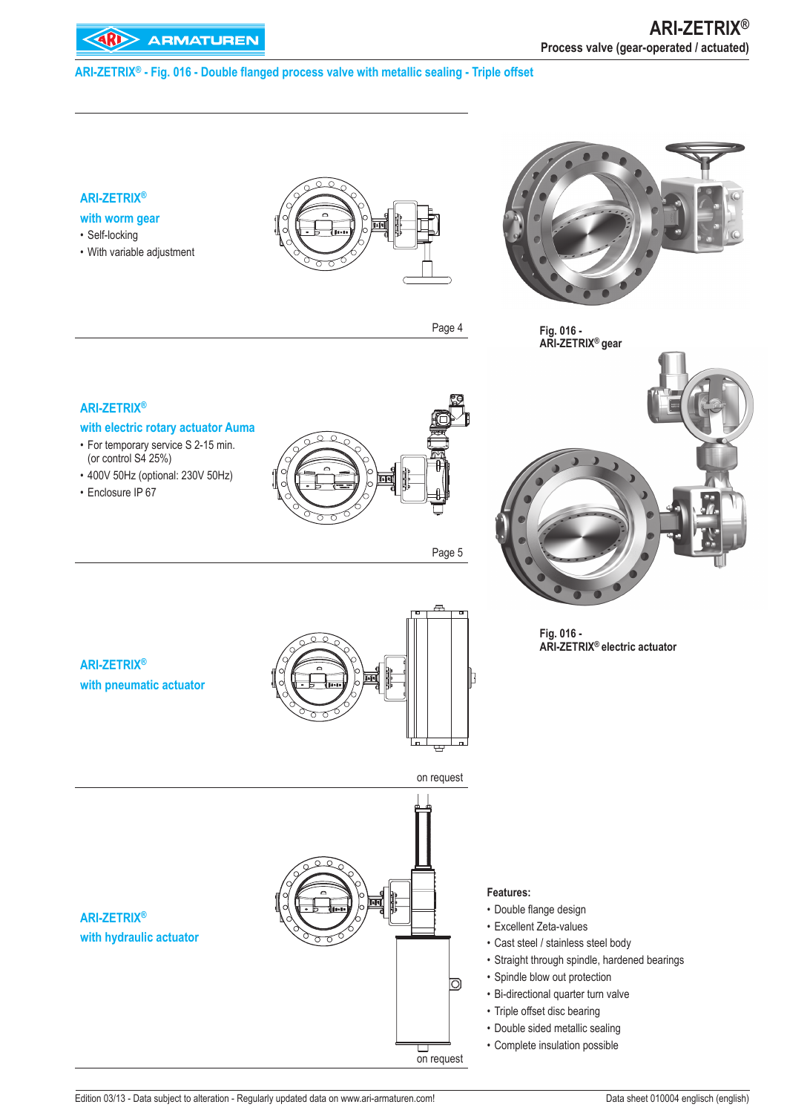## **ARI-ZETRIX® - Fig. 016 - Double flanged process valve with metallic sealing - Triple offset**

# **ARI-ZETRIX®**

## **with worm gear**

- Self-locking
- With variable adjustment •





**Fig. 016 - ARI-ZETRIX® gear**

#### **ARI-ZETRIX®**

#### **with electric rotary actuator Auma**

- For temporary service S 2-15 min. (or control S4 25%)
- 400V 50Hz (optional: 230V 50Hz) •
- Enclosure IP 67



Page 5

Page 4



**Fig. 016 - ARI-ZETRIX® electric actuator**

## **ARI-ZETRIX® with pneumatic actuator**



# **ARI-ZETRIX® with hydraulic actuator**



#### **Features:**

- Double flange design
- Excellent Zeta-values •
- Cast steel / stainless steel body •
- Straight through spindle, hardened bearings
- Spindle blow out protection
- Bi-directional quarter turn valve
- Triple offset disc bearing
- Double sided metallic sealing
- Complete insulation possible •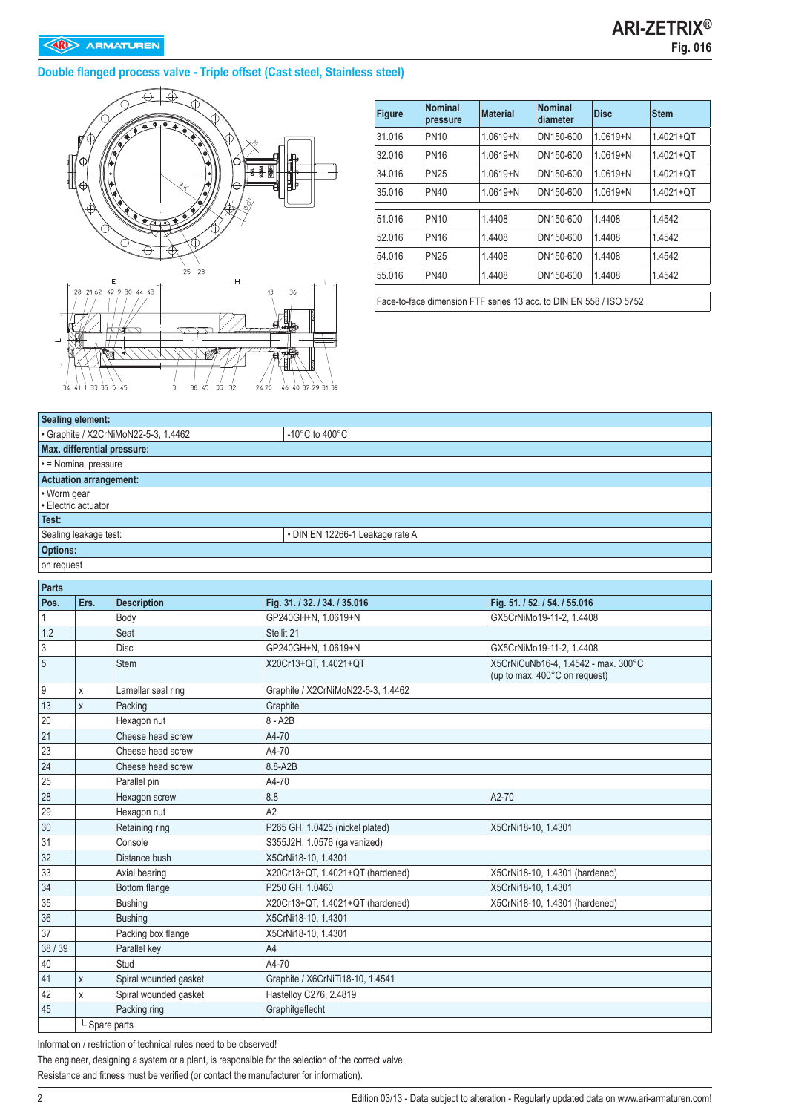## **EXP** ARMATUREN

## **Double flanged process valve - Triple offset (Cast steel, Stainless steel)**



| <b>Figure</b> | <b>Nominal</b><br>pressure                                         | <b>Material</b> | <b>Nominal</b><br>diameter | <b>Disc</b>  | <b>Stem</b>    |  |  |  |  |
|---------------|--------------------------------------------------------------------|-----------------|----------------------------|--------------|----------------|--|--|--|--|
| 31.016        | <b>PN10</b>                                                        | $1.0619 + N$    | DN150-600                  | $1.0619 + N$ | $1.4021 + O$ T |  |  |  |  |
| 32.016        | <b>PN16</b>                                                        | $1.0619 + N$    | DN150-600                  | $1.0619 + N$ | 1.4021+QT      |  |  |  |  |
| 34.016        | <b>PN25</b>                                                        | $1.0619 + N$    | DN150-600                  | $1.0619 + N$ | $1.4021 + QT$  |  |  |  |  |
| 35.016        | <b>PN40</b>                                                        | $1.0619 + N$    | DN150-600                  | $1.0619 + N$ | $1.4021 + QT$  |  |  |  |  |
|               |                                                                    |                 |                            |              |                |  |  |  |  |
| 51.016        | <b>PN10</b>                                                        | 1.4408          | DN150-600                  | 1.4408       | 1.4542         |  |  |  |  |
| 52.016        | <b>PN16</b>                                                        | 1.4408          | DN150-600                  | 1.4408       | 1.4542         |  |  |  |  |
| 54.016        | <b>PN25</b>                                                        | 1.4408          | DN150-600                  | 1.4408       | 1.4542         |  |  |  |  |
| 55.016        | <b>PN40</b>                                                        | 1.4408          | DN150-600                  | 1.4408       | 1.4542         |  |  |  |  |
|               | Face-to-face dimension FTF series 13 acc. to DIN EN 558 / ISO 5752 |                 |                            |              |                |  |  |  |  |

|                 | <b>Sealing element:</b>       |                                      |                                    |                                                                      |  |  |  |  |  |
|-----------------|-------------------------------|--------------------------------------|------------------------------------|----------------------------------------------------------------------|--|--|--|--|--|
|                 |                               | · Graphite / X2CrNiMoN22-5-3, 1.4462 | $-10^{\circ}$ C to $400^{\circ}$ C |                                                                      |  |  |  |  |  |
|                 |                               | Max. differential pressure:          |                                    |                                                                      |  |  |  |  |  |
|                 | · = Nominal pressure          |                                      |                                    |                                                                      |  |  |  |  |  |
|                 | <b>Actuation arrangement:</b> |                                      |                                    |                                                                      |  |  |  |  |  |
| • Worm gear     | · Electric actuator           |                                      |                                    |                                                                      |  |  |  |  |  |
| Test:           |                               |                                      |                                    |                                                                      |  |  |  |  |  |
|                 | Sealing leakage test:         |                                      | · DIN EN 12266-1 Leakage rate A    |                                                                      |  |  |  |  |  |
| <b>Options:</b> |                               |                                      |                                    |                                                                      |  |  |  |  |  |
| on request      |                               |                                      |                                    |                                                                      |  |  |  |  |  |
| <b>Parts</b>    |                               |                                      |                                    |                                                                      |  |  |  |  |  |
| Pos.            | Ers.                          | <b>Description</b>                   |                                    |                                                                      |  |  |  |  |  |
|                 |                               |                                      | Fig. 31. / 32. / 34. / 35.016      | Fig. 51. / 52. / 54. / 55.016                                        |  |  |  |  |  |
| 1               |                               | Body                                 | GP240GH+N, 1.0619+N<br>Stellit 21  | GX5CrNiMo19-11-2, 1.4408                                             |  |  |  |  |  |
| 1.2             |                               | Seat                                 | GP240GH+N, 1.0619+N                |                                                                      |  |  |  |  |  |
| 3               |                               | <b>Disc</b>                          |                                    | GX5CrNiMo19-11-2, 1.4408                                             |  |  |  |  |  |
| 5               |                               | <b>Stem</b>                          | X20Cr13+QT, 1.4021+QT              | X5CrNiCuNb16-4, 1.4542 - max. 300°C<br>(up to max. 400°C on request) |  |  |  |  |  |
| 9               | Χ                             | Lamellar seal ring                   | Graphite / X2CrNiMoN22-5-3, 1.4462 |                                                                      |  |  |  |  |  |
| 13              | X                             | Packing                              | Graphite                           |                                                                      |  |  |  |  |  |
| 20              |                               | Hexagon nut                          | 8 - A2B                            |                                                                      |  |  |  |  |  |
| 21              |                               | Cheese head screw                    | A4-70                              |                                                                      |  |  |  |  |  |
| 23              |                               | Cheese head screw                    | A4-70                              |                                                                      |  |  |  |  |  |
| 24              |                               | Cheese head screw                    | 8.8-A2B                            |                                                                      |  |  |  |  |  |
| 25              |                               | Parallel pin                         | A4-70                              |                                                                      |  |  |  |  |  |
| 28              |                               | Hexagon screw                        | 8.8                                | A2-70                                                                |  |  |  |  |  |
| 29              |                               | Hexagon nut                          | A2                                 |                                                                      |  |  |  |  |  |
| 30              |                               | Retaining ring                       | P265 GH, 1.0425 (nickel plated)    | X5CrNi18-10, 1.4301                                                  |  |  |  |  |  |
| 31              |                               | Console                              | S355J2H, 1.0576 (galvanized)       |                                                                      |  |  |  |  |  |
| 32              |                               | Distance bush                        | X5CrNi18-10, 1.4301                |                                                                      |  |  |  |  |  |
| 33              |                               | Axial bearing                        | X20Cr13+QT, 1.4021+QT (hardened)   | X5CrNi18-10, 1.4301 (hardened)                                       |  |  |  |  |  |
| 34              |                               | Bottom flange                        | P250 GH, 1.0460                    | X5CrNi18-10, 1.4301                                                  |  |  |  |  |  |
| 35              |                               | Bushing                              | X20Cr13+QT, 1.4021+QT (hardened)   | X5CrNi18-10, 1.4301 (hardened)                                       |  |  |  |  |  |
| 36              |                               | <b>Bushing</b>                       | X5CrNi18-10, 1.4301                |                                                                      |  |  |  |  |  |
| 37              |                               | Packing box flange                   | X5CrNi18-10, 1.4301                |                                                                      |  |  |  |  |  |
| 38 / 39         |                               | Parallel key                         | A4                                 |                                                                      |  |  |  |  |  |
| 40              |                               | Stud                                 | A4-70                              |                                                                      |  |  |  |  |  |
| 41              | X                             | Spiral wounded gasket                | Graphite / X6CrNiTi18-10, 1.4541   |                                                                      |  |  |  |  |  |
| 42              | Χ                             | Spiral wounded gasket                | Hastelloy C276, 2.4819             |                                                                      |  |  |  |  |  |
| 45              |                               | Packing ring                         | Graphitgeflecht                    |                                                                      |  |  |  |  |  |
|                 | L Spare parts                 |                                      |                                    |                                                                      |  |  |  |  |  |
|                 |                               |                                      |                                    |                                                                      |  |  |  |  |  |

Information / restriction of technical rules need to be observed!

The engineer, designing a system or a plant, is responsible for the selection of the correct valve.

Resistance and fitness must be verified (or contact the manufacturer for information).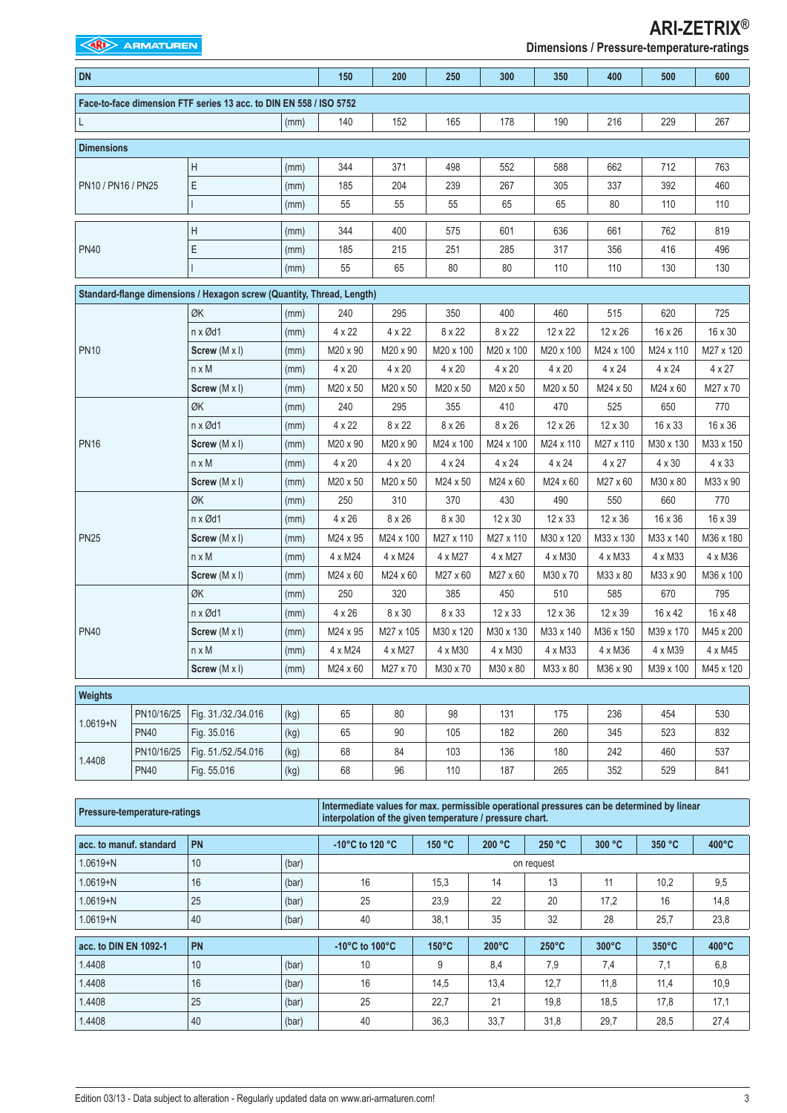**EXAMPLE ARMATUREN** 

**ARI-ZETRIX® Dimensions / Pressure-temperature-ratings**

| <b>DN</b>                                    |             |                                                                       |      | 150           | 200           | 250           | 300           | 350           | 400           | 500                                                                                  | 600           |
|----------------------------------------------|-------------|-----------------------------------------------------------------------|------|---------------|---------------|---------------|---------------|---------------|---------------|--------------------------------------------------------------------------------------|---------------|
|                                              |             | Face-to-face dimension FTF series 13 acc. to DIN EN 558 / ISO 5752    |      |               |               |               |               |               |               |                                                                                      |               |
| L                                            |             |                                                                       | (mm) | 140           | 152           | 165           | 178           | 190           | 216           | 229                                                                                  | 267           |
| <b>Dimensions</b>                            |             |                                                                       |      |               |               |               |               |               |               |                                                                                      |               |
|                                              |             | H                                                                     | (mm) | 344           | 371           | 498           | 552           | 588           | 662           | 712                                                                                  | 763           |
| PN10 / PN16 / PN25                           |             | E                                                                     | (mm) | 185           | 204           | 239           | 267           | 305           | 337           | 392                                                                                  | 460           |
|                                              |             |                                                                       | (mm) | 55            | 55            | 55            | 65            | 65            | 80            | 110                                                                                  | 110           |
|                                              |             | Η                                                                     | (mm) | 344           | 400           | 575           | 601           | 636           | 661           | 762                                                                                  | 819           |
| <b>PN40</b>                                  |             | Ε                                                                     | (mm) | 185           | 215           | 251           | 285           | 317           | 356           | 416                                                                                  | 496           |
|                                              |             |                                                                       | (mm) | 55            | 65            | 80            | 80            | 110           | 110           | 130                                                                                  | 130           |
|                                              |             | Standard-flange dimensions / Hexagon screw (Quantity, Thread, Length) |      |               |               |               |               |               |               |                                                                                      |               |
|                                              |             | ØK                                                                    | (mm) | 240           | 295           | 350           | 400           | 460           | 515           | 620                                                                                  | 725           |
|                                              |             | n x Ød1                                                               | (mm) | 4 x 22        | 4 x 22        | 8 x 22        | 8 x 22        | 12 x 22       | 12 x 26       | 16 x 26                                                                              | 16 x 30       |
| <b>PN10</b>                                  |             | Screw (M x I)                                                         | (mm) | M20 x 90      | M20 x 90      | M20 x 100     | M20 x 100     | M20 x 100     | M24 x 100     | M24 x 110                                                                            | M27 x 120     |
|                                              |             | $n \times M$                                                          | (mm) | $4 \times 20$ | $4 \times 20$ | $4 \times 20$ | $4 \times 20$ | $4 \times 20$ | $4 \times 24$ | $4 \times 24$                                                                        | $4 \times 27$ |
|                                              |             | Screw (M x I)                                                         | (mm) | M20 x 50      | M20 x 50      | M20 x 50      | M20 x 50      | M20 x 50      | M24 x 50      | M24 x 60                                                                             | M27 x 70      |
| ØK<br>n x Ød1<br><b>PN16</b><br>$n \times M$ |             |                                                                       | (mm) | 240           | 295           | 355           | 410           | 470           | 525           | 650                                                                                  | 770           |
|                                              |             |                                                                       | (mm) | 4 x 22        | 8 x 22        | 8 x 26        | 8 x 26        | 12 x 26       | 12 x 30       | 16 x 33                                                                              | 16 x 36       |
|                                              |             | Screw $(M \times I)$                                                  | (mm) | M20 x 90      | M20 x 90      | M24 x 100     | M24 x 100     | M24 x 110     | M27 x 110     | M30 x 130                                                                            | M33 x 150     |
|                                              |             |                                                                       | (mm) | $4 \times 20$ | 4 x 20        | $4 \times 24$ | $4 \times 24$ | $4 \times 24$ | $4 \times 27$ | 4 x 30                                                                               | 4 x 33        |
|                                              |             | Screw $(M \times I)$                                                  | (mm) | M20 x 50      | M20 x 50      | M24 x 50      | M24 x 60      | M24 x 60      | M27 x 60      | M30 x 80                                                                             | M33 x 90      |
|                                              |             | ØK                                                                    | (mm) | 250           | 310           | 370           | 430           | 490           | 550           | 660                                                                                  | 770           |
|                                              |             | n x Ød1                                                               | (mm) | $4 \times 26$ | 8 x 26        | 8 x 30        | 12 x 30       | 12 x 33       | 12 x 36       | 16 x 36                                                                              | 16 x 39       |
| <b>PN25</b>                                  |             | Screw $(M \times I)$                                                  | (mm) | M24 x 95      | M24 x 100     | M27 x 110     | M27 x 110     | M30 x 120     | M33 x 130     | M33 x 140                                                                            | M36 x 180     |
|                                              |             | $n \times M$                                                          | (mm) | 4 x M24       | 4 x M24       | 4 x M27       | 4 x M27       | 4 x M30       | 4 x M33       | 4 x M33                                                                              | 4 x M36       |
|                                              |             | Screw $(M \times I)$                                                  | (mm) | M24 x 60      | M24 x 60      | M27 x 60      | M27 x 60      | M30 x 70      | M33 x 80      | M33 x 90<br>670<br>16 x 42<br>M39 x 170<br>4 x M39<br>M39 x 100<br>454<br>523<br>460 | M36 x 100     |
|                                              |             | ØK                                                                    | (mm) | 250           | 320           | 385           | 450           | 510           | 585           |                                                                                      | 795           |
|                                              |             | n x Ød1                                                               | (mm) | $4 \times 26$ | 8 x 30        | 8 x 33        | 12 x 33       | 12 x 36       | 12 x 39       |                                                                                      | 16 x 48       |
| <b>PN40</b>                                  |             | Screw (M x I)                                                         | (mm) | M24 x 95      | M27 x 105     | M30 x 120     | M30 x 130     | M33 x 140     | M36 x 150     |                                                                                      | M45 x 200     |
|                                              |             | $n \times M$                                                          | (mm) | 4 x M24       | 4 x M27       | 4 x M30       | 4 x M30       | 4 x M33       | 4 x M36       |                                                                                      | 4 x M45       |
|                                              |             | Screw (M x I)                                                         | (mm) | M24 x 60      | M27 x 70      | M30 x 70      | M30 x 80      | M33 x 80      | M36 x 90      |                                                                                      | M45 x 120     |
| Weights                                      |             |                                                                       |      |               |               |               |               |               |               |                                                                                      |               |
|                                              | PN10/16/25  | Fig. 31./32./34.016                                                   | (kg) | 65            | 80            | 98            | 131           | 175           | 236           |                                                                                      | 530           |
|                                              | <b>PN40</b> | Fig. 35.016                                                           | (kg) | 65            | $90\,$        | 105           | 182           | 260           | 345           |                                                                                      | 832           |
|                                              | PN10/16/25  | Fig. 51./52./54.016                                                   | (kg) | 68            | 84            | 103           | 136           | 180           | 242           |                                                                                      | 537           |
| 1.0619+N<br>1.4408                           | <b>PN40</b> | Fig. 55.016                                                           | (kg) | 68            | 96            | 110           | 187           | 265           | 352           | 529                                                                                  | 841           |

| Pressure-temperature-ratings | Intermediate values for max. permissible operational pressures can be determined by linear<br>interpolation of the given temperature / pressure chart. |       |                                          |                                       |                 |                 |                 |                 |                 |  |
|------------------------------|--------------------------------------------------------------------------------------------------------------------------------------------------------|-------|------------------------------------------|---------------------------------------|-----------------|-----------------|-----------------|-----------------|-----------------|--|
| acc. to manuf, standard      | PN                                                                                                                                                     |       | -10 $^{\circ}$ C to 120 $^{\circ}$ C     | 150 °C                                | 200 °C          | 250 °C          | 300 °C          | 350 °C          | $400^{\circ}$ C |  |
| $1.0619 + N$                 | 10                                                                                                                                                     | (bar) |                                          | on request                            |                 |                 |                 |                 |                 |  |
| $1.0619 + N$                 | 16                                                                                                                                                     | (bar) | 16                                       | 15.3<br>11<br>14<br>13<br>10,2<br>9,5 |                 |                 |                 |                 |                 |  |
| $1.0619 + N$                 | 25                                                                                                                                                     | (bar) | 25                                       | 23.9                                  | 22              | 20              | 17.2            | 16              | 14,8            |  |
| $1.0619 + N$                 | 40                                                                                                                                                     | (bar) | 40                                       | 38,1                                  | 35              | 32              | 28              | 25,7            | 23,8            |  |
| acc. to DIN EN 1092-1        | PN                                                                                                                                                     |       | -10 $^{\circ}$ C to 100 $^{\circ}$ C     | $150^{\circ}$ C                       | $200^{\circ}$ C | $250^{\circ}$ C | $300^{\circ}$ C | $350^{\circ}$ C | $400^{\circ}$ C |  |
| 1.4408                       | 10                                                                                                                                                     | (bar) | 10                                       | 9                                     | 8.4             | 7.9             | 7.4             | 7.1             | 6,8             |  |
| 1.4408                       | 16                                                                                                                                                     | (bar) | 16                                       | 14,5                                  | 13,4            | 12,7            | 11,8            | 11,4            | 10,9            |  |
| 1.4408                       | 25                                                                                                                                                     | (bar) | 25<br>22.7<br>21<br>18,5<br>19.8<br>17.8 |                                       |                 |                 |                 | 17,1            |                 |  |
| 1.4408                       | 40                                                                                                                                                     | (bar) | 40                                       | 36.3                                  | 33,7            | 31.8            | 29,7            | 28,5            | 27,4            |  |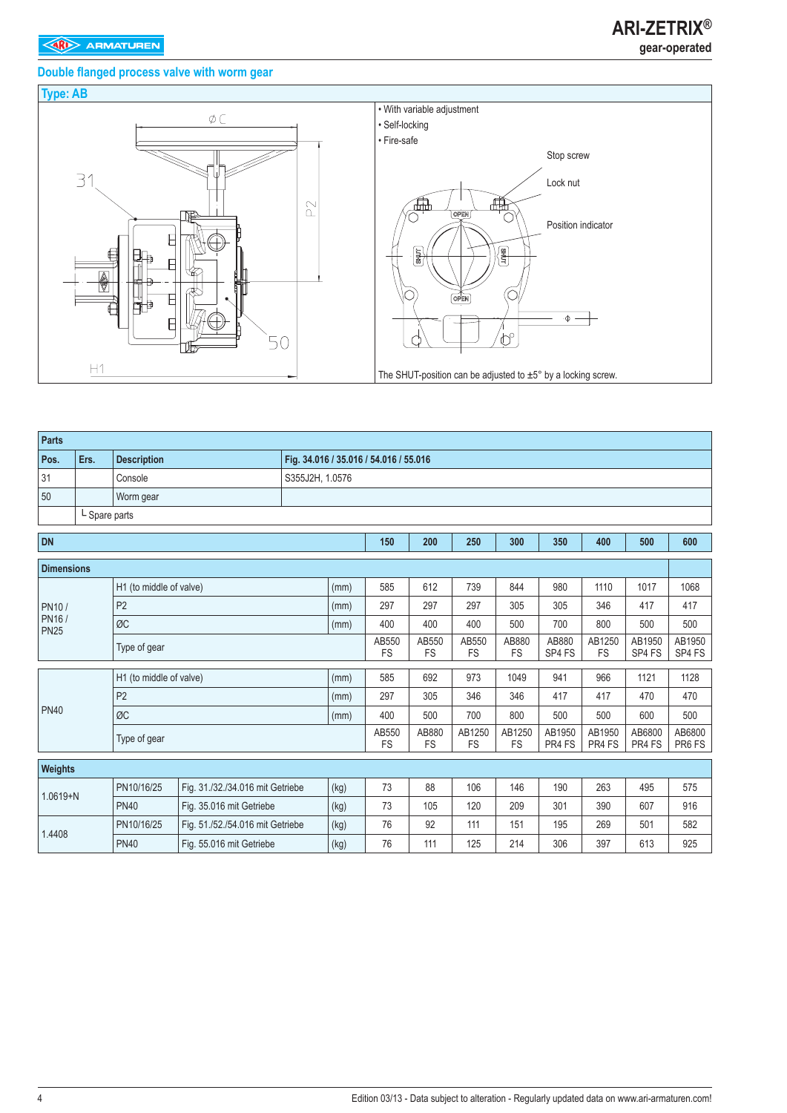# **Double flanged process valve with worm gear**



| <b>Parts</b>                                                                                         |               |                          |                                  |                                        |                    |                    |                     |                     |                  |                  |                  |                 |      |
|------------------------------------------------------------------------------------------------------|---------------|--------------------------|----------------------------------|----------------------------------------|--------------------|--------------------|---------------------|---------------------|------------------|------------------|------------------|-----------------|------|
| Pos.                                                                                                 | Ers.          | <b>Description</b>       |                                  | Fig. 34.016 / 35.016 / 54.016 / 55.016 |                    |                    |                     |                     |                  |                  |                  |                 |      |
| 31                                                                                                   |               | Console                  |                                  | S355J2H, 1.0576                        |                    |                    |                     |                     |                  |                  |                  |                 |      |
| 50                                                                                                   |               | Worm gear                |                                  |                                        |                    |                    |                     |                     |                  |                  |                  |                 |      |
|                                                                                                      | L Spare parts |                          |                                  |                                        |                    |                    |                     |                     |                  |                  |                  |                 |      |
| <b>DN</b>                                                                                            |               |                          |                                  |                                        |                    | 150                | 200                 | 250                 | 300              | 350              | 400              | 500             | 600  |
|                                                                                                      |               |                          |                                  |                                        |                    |                    |                     |                     |                  |                  |                  |                 |      |
|                                                                                                      |               | H1 (to middle of valve)  |                                  |                                        | (mm)               | 585                | 612                 | 739                 | 844              | 980              | 1110             | 1017            | 1068 |
| PN10/                                                                                                |               | P <sub>2</sub><br>(mm)   |                                  |                                        |                    |                    | 297                 | 297                 | 305              | 305              | 346              | 417             | 417  |
|                                                                                                      |               | ØC                       | 400                              | 400                                    | 400                | 500                | 700                 | 800                 | 500              | 500              |                  |                 |      |
|                                                                                                      |               | Type of gear             | AB550<br><b>FS</b>               | AB550<br><b>FS</b>                     | AB550<br><b>FS</b> | AB880<br><b>FS</b> | AB880<br>SP4 FS     | AB1250<br><b>FS</b> | AB1950<br>SP4 FS | AB1950<br>SP4 FS |                  |                 |      |
|                                                                                                      |               | H1 (to middle of valve)  |                                  |                                        | (mm)               | 585                | 692                 | 973                 | 1049             | 941              | 966              | 1121            | 1128 |
|                                                                                                      |               | P <sub>2</sub>           |                                  |                                        | (mm)               | 297                | 305                 | 346                 | 346              | 417              | 417              | 470             | 470  |
|                                                                                                      |               | ØC                       |                                  |                                        | (mm)               | 400                | 500                 | 700                 | 800              | 500              | 500              | 600             | 500  |
|                                                                                                      |               | Type of gear             |                                  |                                        | AB550<br><b>FS</b> | AB880<br><b>FS</b> | AB1250<br><b>FS</b> | AB1250<br><b>FS</b> | AB1950<br>PR4 FS | AB1950<br>PR4 FS | AB6800<br>PR4 FS | AB6800<br>PR6FS |      |
|                                                                                                      |               |                          |                                  |                                        |                    |                    |                     |                     |                  |                  |                  |                 |      |
|                                                                                                      |               | PN10/16/25               | Fig. 31./32./34.016 mit Getriebe |                                        | (kg)               | 73                 | 88                  | 106                 | 146              | 190              | 263              | 495             | 575  |
|                                                                                                      |               | <b>PN40</b>              | Fig. 35.016 mit Getriebe         |                                        | (kg)               | 73                 | 105                 | 120                 | 209              | 301              | 390              | 607             | 916  |
|                                                                                                      |               | PN10/16/25               | Fig. 51./52./54.016 mit Getriebe |                                        | (kg)               | 76                 | 92                  | 111                 | 151              | 195              | 269              | 501             | 582  |
| <b>Dimensions</b><br>PN16/<br><b>PN25</b><br><b>PN40</b><br><b>Weights</b><br>$1.0619 + N$<br>1.4408 | <b>PN40</b>   | Fig. 55.016 mit Getriebe |                                  | (kg)                                   | 76                 | 111                | 125                 | 214                 | 306              | 397              | 613              | 925             |      |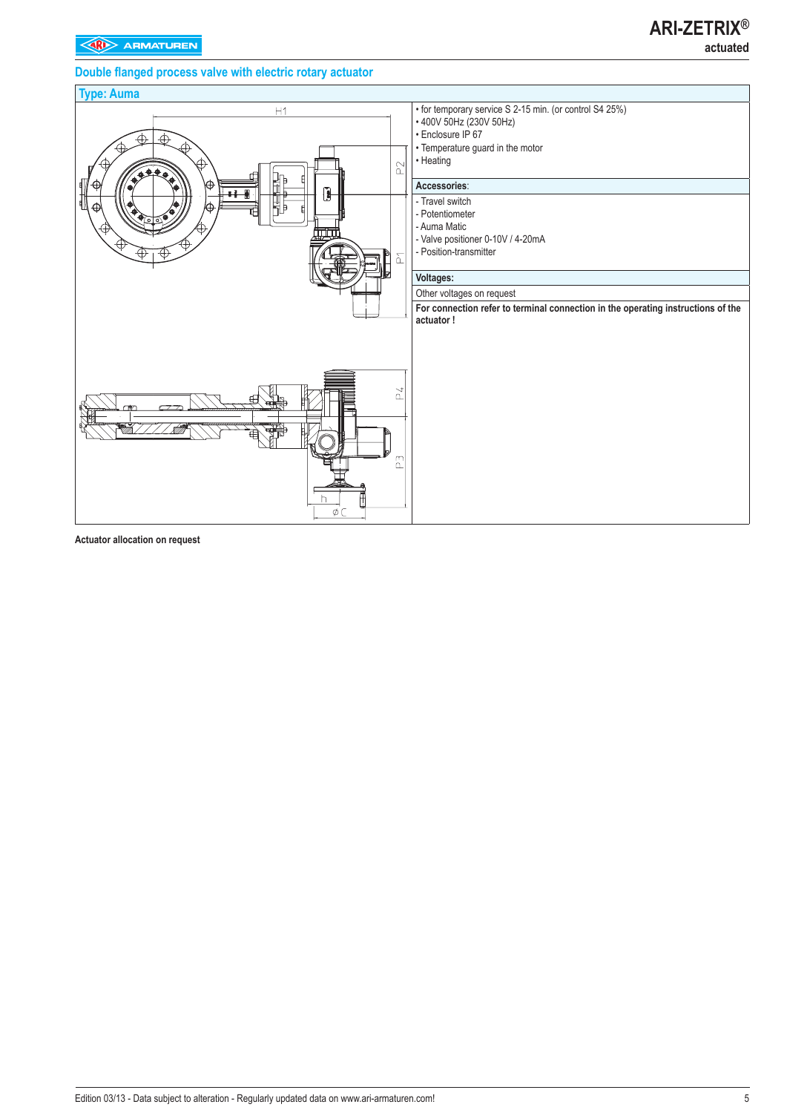# **ARI-ZETRIX® actuated**

## **Double flanged process valve with electric rotary actuator**

# **Type: Auma** • for temporary service S 2-15 min. (or control S4 25%)  $H1$ • 400V 50Hz (230V 50Hz) • Enclosure IP 67 • Temperature guard in the motor • Heating  $\approx$ **Accessories**: - Travel switch - Potentiometer - Auma Matic - Valve positioner 0-10V / 4-20mA - Position-transmitter δ **Voltages:** Other voltages on request **For connection refer to terminal connection in the operating instructions of the actuator !**  $\geq 4$  $\overline{a}$

**Actuator allocation on request**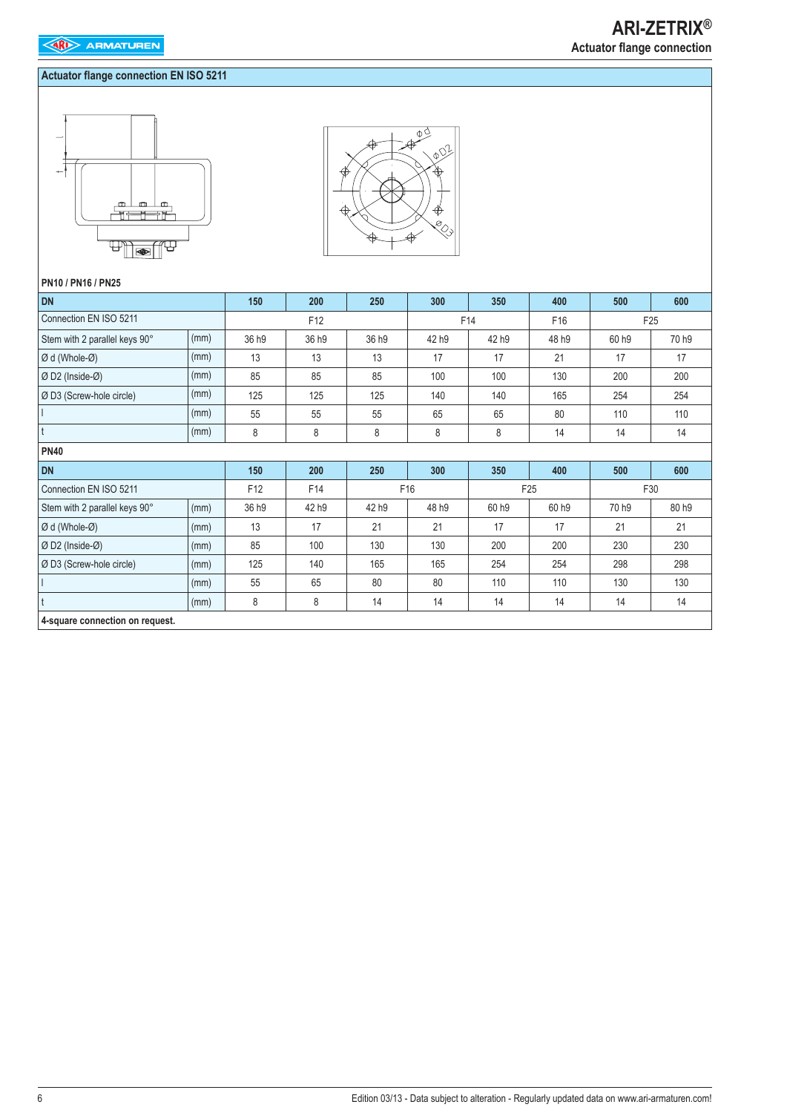## **Actuator flange connection EN ISO 5211**





#### **PN10 / PN16 / PN25**

| <b>DN</b>                       |      | 150   | 200             | 250   | 300   | 350   | 400             | 500   | 600             |
|---------------------------------|------|-------|-----------------|-------|-------|-------|-----------------|-------|-----------------|
| Connection EN ISO 5211          |      |       | F <sub>12</sub> |       |       | F14   | F <sub>16</sub> |       | F <sub>25</sub> |
| Stem with 2 parallel keys 90°   | (mm) | 36 h9 | 36 h9           | 36 h9 | 42 h9 | 42 h9 | 48 h9           | 60 h9 | 70 h9           |
| Ø d (Whole-Ø)                   | (mm) | 13    | 13              | 13    | 17    | 17    | 21              | 17    | 17              |
| Ø D2 (Inside-Ø)                 | (mm) | 85    | 85              | 85    | 100   | 100   | 130             | 200   | 200             |
| Ø D3 (Screw-hole circle)        | (mm) | 125   | 125             | 125   | 140   | 140   | 165             | 254   | 254             |
|                                 | (mm) | 55    | 55              | 55    | 65    | 65    | 80              | 110   | 110             |
|                                 | (mm) | 8     | 8               | 8     | 8     | 8     | 14              | 14    | 14              |
| <b>PN40</b>                     |      |       |                 |       |       |       |                 |       |                 |
| <b>DN</b>                       |      | 150   | 200             | 250   | 300   | 350   | 400             | 500   | 600             |
| Connection EN ISO 5211          |      | F12   | F14             |       | F16   |       | F <sub>25</sub> |       | F30             |
| Stem with 2 parallel keys 90°   | (mm) | 36 h9 | 42 h9           | 42 h9 | 48 h9 | 60 h9 | 60 h9           | 70 h9 | 80 h9           |
| Ø d (Whole-Ø)                   | (mm) | 13    | 17              | 21    | 21    | 17    | 17              | 21    | 21              |
| Ø D2 (Inside-Ø)                 | (mm) | 85    | 100             | 130   | 130   | 200   | 200             | 230   | 230             |
| Ø D3 (Screw-hole circle)        | (mm) | 125   | 140             | 165   | 165   | 254   | 254             | 298   | 298             |
|                                 | (mm) | 55    | 65              | 80    | 80    | 110   | 110             | 130   | 130             |
|                                 | (mm) | 8     | 8               | 14    | 14    | 14    | 14              | 14    | 14              |
| 4-square connection on request. |      |       |                 |       |       |       |                 |       |                 |

# **ARI-ZETRIX® Actuator flange connection**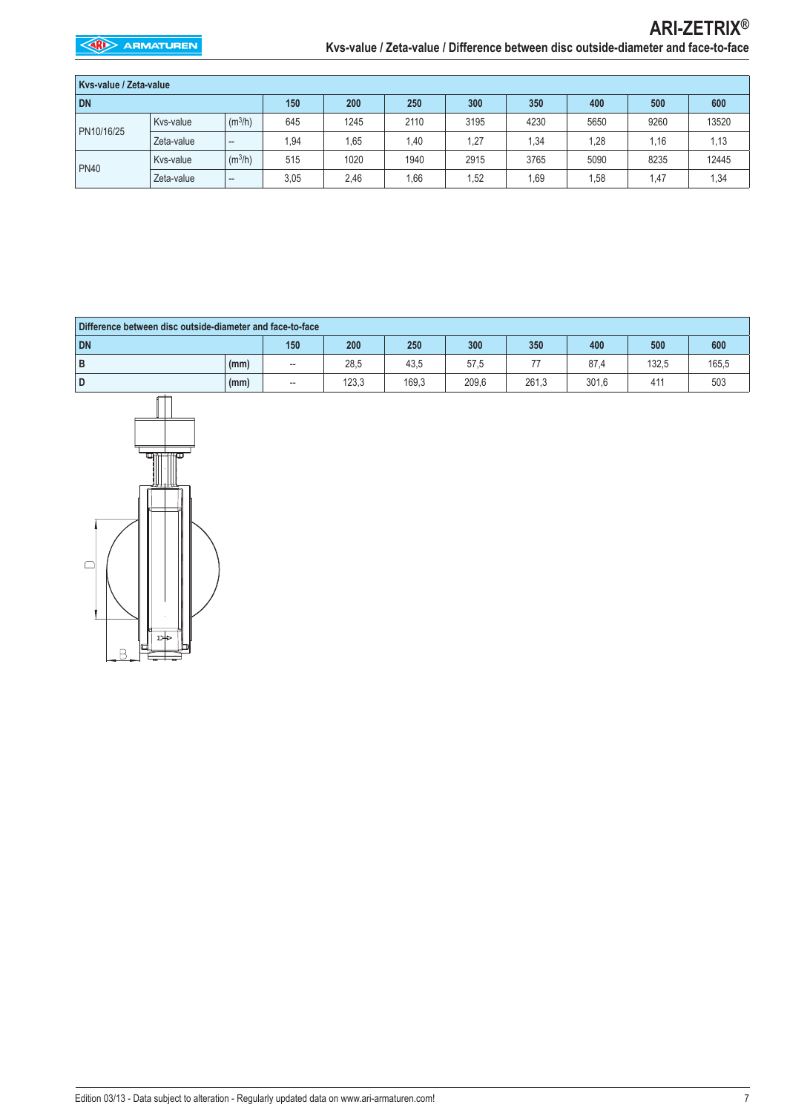| Kys-value / Zeta-value |            |                        |      |      |      |      |      |      |       |       |  |
|------------------------|------------|------------------------|------|------|------|------|------|------|-------|-------|--|
| <b>DN</b>              |            |                        | 150  | 200  | 250  | 300  | 350  | 400  | 500   | 600   |  |
| PN10/16/25             | Kvs-value  | (m <sup>3</sup> /h)    | 645  | 1245 | 2110 | 3195 | 4230 | 5650 | 9260  | 13520 |  |
|                        | Zeta-value | $\qquad \qquad \cdots$ | 1,94 | 1.65 | .40  | 1,27 | 1,34 | 1,28 | 1.16  | 1,13  |  |
|                        | Kvs-value  | (m <sup>3</sup> /h)    | 515  | 1020 | 1940 | 2915 | 3765 | 5090 | 8235  | 12445 |  |
| <b>PN40</b>            | Zeta-value | $\qquad \qquad \cdots$ | 3,05 | 2,46 | .66  | 1,52 | .69  | 1,58 | 47. ا | 1,34  |  |

| Difference between disc outside-diameter and face-to-face |      |     |       |       |       |       |       |       |       |  |
|-----------------------------------------------------------|------|-----|-------|-------|-------|-------|-------|-------|-------|--|
| <b>DN</b>                                                 |      | 150 | 200   | 250   | 300   | 350   | 400   | 500   | 600   |  |
| B                                                         | (mm) | --  | 28,5  | 43,5  | 57,5  |       | 87.4  | 132,5 | 165,5 |  |
| D                                                         | (mm) | --  | 123,3 | 169.3 | 209,6 | 261,3 | 301.6 | 411   | 503   |  |